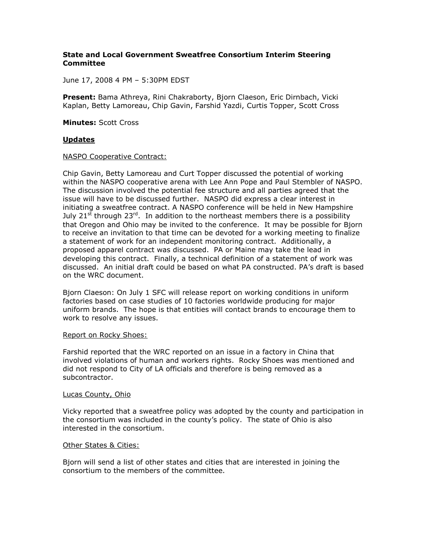# **State and Local Government Sweatfree Consortium Interim Steering Committee**

June 17, 2008 4 PM – 5:30PM EDST

**Present:** Bama Athreya, Rini Chakraborty, Bjorn Claeson, Eric Dirnbach, Vicki Kaplan, Betty Lamoreau, Chip Gavin, Farshid Yazdi, Curtis Topper, Scott Cross

**Minutes:** Scott Cross

### **Updates**

#### NASPO Cooperative Contract:

Chip Gavin, Betty Lamoreau and Curt Topper discussed the potential of working within the NASPO cooperative arena with Lee Ann Pope and Paul Stembler of NASPO. The discussion involved the potential fee structure and all parties agreed that the issue will have to be discussed further. NASPO did express a clear interest in initiating a sweatfree contract. A NASPO conference will be held in New Hampshire July 21<sup>st</sup> through 23<sup>rd</sup>. In addition to the northeast members there is a possibility that Oregon and Ohio may be invited to the conference. It may be possible for Bjorn to receive an invitation to that time can be devoted for a working meeting to finalize a statement of work for an independent monitoring contract. Additionally, a proposed apparel contract was discussed. PA or Maine may take the lead in developing this contract. Finally, a technical definition of a statement of work was discussed. An initial draft could be based on what PA constructed. PA's draft is based on the WRC document.

Bjorn Claeson: On July 1 SFC will release report on working conditions in uniform factories based on case studies of 10 factories worldwide producing for major uniform brands. The hope is that entities will contact brands to encourage them to work to resolve any issues.

#### Report on Rocky Shoes:

Farshid reported that the WRC reported on an issue in a factory in China that involved violations of human and workers rights. Rocky Shoes was mentioned and did not respond to City of LA officials and therefore is being removed as a subcontractor.

#### Lucas County, Ohio

Vicky reported that a sweatfree policy was adopted by the county and participation in the consortium was included in the county's policy. The state of Ohio is also interested in the consortium.

### Other States & Cities:

Bjorn will send a list of other states and cities that are interested in joining the consortium to the members of the committee.